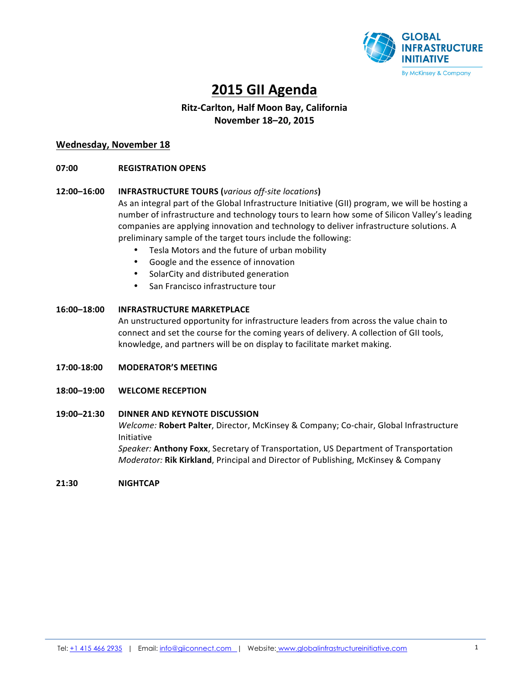

# **2015 GII Agenda**

# **Ritz-Carlton, Half Moon Bay, California November 18–20, 2015**

# **Wednesday, November 18**

# **07:00 REGISTRATION OPENS**

# 12:00–16:00 **INFRASTRUCTURE TOURS** (various off-site locations)

As an integral part of the Global Infrastructure Initiative (GII) program, we will be hosting a number of infrastructure and technology tours to learn how some of Silicon Valley's leading companies are applying innovation and technology to deliver infrastructure solutions. A preliminary sample of the target tours include the following:

- Tesla Motors and the future of urban mobility
- Google and the essence of innovation
- SolarCity and distributed generation
- San Francisco infrastructure tour

# 16:00-18:00 **INFRASTRUCTURE MARKETPLACE**

An unstructured opportunity for infrastructure leaders from across the value chain to connect and set the course for the coming years of delivery. A collection of GII tools, knowledge, and partners will be on display to facilitate market making.

- **17:00-18:00 MODERATOR'S MEETING**
- **18:00–19:00 WELCOME RECEPTION**

# 19:00-21:30 DINNER AND KEYNOTE DISCUSSION

*Welcome:* **Robert Palter**, Director, McKinsey & Company; Co-chair, Global Infrastructure Initiative

**Speaker: Anthony Foxx, Secretary of Transportation, US Department of Transportation** *Moderator:* Rik Kirkland, Principal and Director of Publishing, McKinsey & Company

**21:30 NIGHTCAP**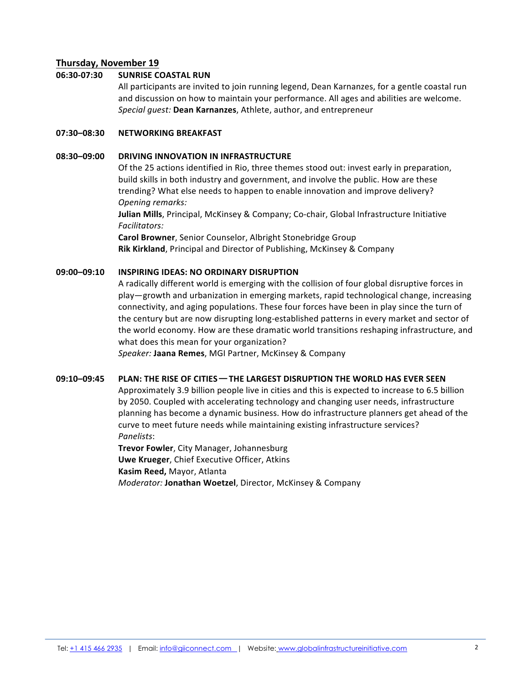# **Thursday, November 19**

# 06:30-07:30 **SUNRISE COASTAL RUN**

All participants are invited to join running legend, Dean Karnanzes, for a gentle coastal run and discussion on how to maintain your performance. All ages and abilities are welcome. Special guest: Dean Karnanzes, Athlete, author, and entrepreneur

# **07:30–08:30 NETWORKING BREAKFAST**

# **08:30-09:00 DRIVING INNOVATION IN INFRASTRUCTURE**

Of the 25 actions identified in Rio, three themes stood out: invest early in preparation, build skills in both industry and government, and involve the public. How are these trending? What else needs to happen to enable innovation and improve delivery? **Opening remarks:** 

**Julian Mills**, Principal, McKinsey & Company; Co-chair, Global Infrastructure Initiative *Facilitators:* 

**Carol Browner**, Senior Counselor, Albright Stonebridge Group **Rik Kirkland**, Principal and Director of Publishing, McKinsey & Company

# **09:00–09:10 INSPIRING IDEAS: NO ORDINARY DISRUPTION**

A radically different world is emerging with the collision of four global disruptive forces in play—growth and urbanization in emerging markets, rapid technological change, increasing connectivity, and aging populations. These four forces have been in play since the turn of the century but are now disrupting long-established patterns in every market and sector of the world economy. How are these dramatic world transitions reshaping infrastructure, and what does this mean for your organization?

*Speaker:* **Jaana Remes**, MGI Partner, McKinsey & Company

# **09:10-09:45 PLAN: THE RISE OF CITIES — THE LARGEST DISRUPTION THE WORLD HAS EVER SEEN**

Approximately 3.9 billion people live in cities and this is expected to increase to 6.5 billion by 2050. Coupled with accelerating technology and changing user needs, infrastructure planning has become a dynamic business. How do infrastructure planners get ahead of the curve to meet future needs while maintaining existing infrastructure services? *Panelists*: 

**Trevor Fowler, City Manager, Johannesburg Uwe Krueger, Chief Executive Officer, Atkins Kasim Reed,** Mayor, Atlanta *Moderator:* **Jonathan Woetzel**, Director, McKinsey & Company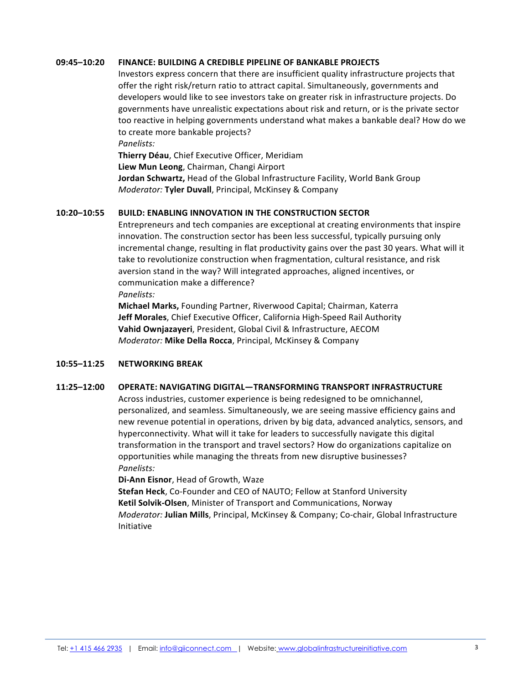### **09:45–10:20 FINANCE: BUILDING A CREDIBLE PIPELINE OF BANKABLE PROJECTS**

Investors express concern that there are insufficient quality infrastructure projects that offer the right risk/return ratio to attract capital. Simultaneously, governments and developers would like to see investors take on greater risk in infrastructure projects. Do governments have unrealistic expectations about risk and return, or is the private sector too reactive in helping governments understand what makes a bankable deal? How do we to create more bankable projects?

*Panelists:* 

**Thierry Déau, Chief Executive Officer, Meridiam** Liew Mun Leong, Chairman, Changi Airport **Jordan Schwartz, Head of the Global Infrastructure Facility, World Bank Group** *Moderator:* Tyler Duvall, Principal, McKinsey & Company

# **10:20-10:55 BUILD: ENABLING INNOVATION IN THE CONSTRUCTION SECTOR**

Entrepreneurs and tech companies are exceptional at creating environments that inspire innovation. The construction sector has been less successful, typically pursuing only incremental change, resulting in flat productivity gains over the past 30 years. What will it take to revolutionize construction when fragmentation, cultural resistance, and risk aversion stand in the way? Will integrated approaches, aligned incentives, or communication make a difference?

*Panelists:*

**Michael Marks, Founding Partner, Riverwood Capital; Chairman, Katerra** Jeff Morales, Chief Executive Officer, California High-Speed Rail Authority **Vahid Ownjazayeri**, President, Global Civil & Infrastructure, AECOM *Moderator:* Mike Della Rocca, Principal, McKinsey & Company

#### **10:55–11:25 NETWORKING BREAK**

#### **11:25–12:00 OPERATE: NAVIGATING DIGITAL—TRANSFORMING TRANSPORT INFRASTRUCTURE**

Across industries, customer experience is being redesigned to be omnichannel, personalized, and seamless. Simultaneously, we are seeing massive efficiency gains and new revenue potential in operations, driven by big data, advanced analytics, sensors, and hyperconnectivity. What will it take for leaders to successfully navigate this digital transformation in the transport and travel sectors? How do organizations capitalize on opportunities while managing the threats from new disruptive businesses? *Panelists:* 

**Di-Ann Eisnor, Head of Growth, Waze** 

**Stefan Heck**, Co-Founder and CEO of NAUTO; Fellow at Stanford University **Ketil Solvik-Olsen**, Minister of Transport and Communications, Norway *Moderator:* **Julian Mills**, Principal, McKinsey & Company; Co-chair, Global Infrastructure Initiative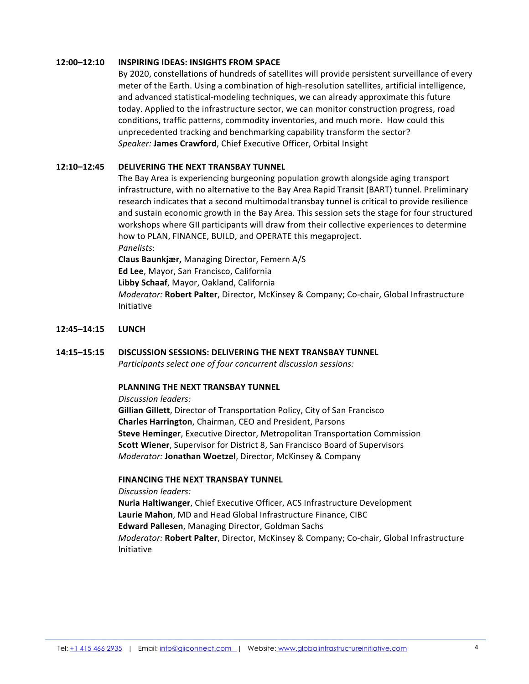### **12:00–12:10 INSPIRING IDEAS: INSIGHTS FROM SPACE**

By 2020, constellations of hundreds of satellites will provide persistent surveillance of every meter of the Earth. Using a combination of high-resolution satellites, artificial intelligence, and advanced statistical-modeling techniques, we can already approximate this future today. Applied to the infrastructure sector, we can monitor construction progress, road conditions, traffic patterns, commodity inventories, and much more. How could this unprecedented tracking and benchmarking capability transform the sector? **Speaker: James Crawford, Chief Executive Officer, Orbital Insight** 

# 12:10-12:45 **DELIVERING THE NEXT TRANSBAY TUNNEL**

The Bay Area is experiencing burgeoning population growth alongside aging transport infrastructure, with no alternative to the Bay Area Rapid Transit (BART) tunnel. Preliminary research indicates that a second multimodal transbay tunnel is critical to provide resilience and sustain economic growth in the Bay Area. This session sets the stage for four structured workshops where GII participants will draw from their collective experiences to determine how to PLAN, FINANCE, BUILD, and OPERATE this megaproject.

*Panelists*: 

**Claus Baunkjær, Managing Director, Femern A/S Ed Lee**, Mayor, San Francisco, California **Libby Schaaf, Mayor, Oakland, California** *Moderator:* Robert Palter, Director, McKinsey & Company; Co-chair, Global Infrastructure Initiative

#### **12:45–14:15 LUNCH**

# **14:15–15:15 DISCUSSION SESSIONS: DELIVERING THE NEXT TRANSBAY TUNNEL**

*Participants select one of four concurrent discussion sessions:* 

# **PLANNING THE NEXT TRANSBAY TUNNEL**

*Discussion leaders:*

**Gillian Gillett**, Director of Transportation Policy, City of San Francisco **Charles Harrington**, Chairman, CEO and President, Parsons **Steve Heminger, Executive Director, Metropolitan Transportation Commission Scott Wiener**, Supervisor for District 8, San Francisco Board of Supervisors *Moderator:* Jonathan Woetzel, Director, McKinsey & Company

# **FINANCING THE NEXT TRANSBAY TUNNEL**

*Discussion leaders:*

**Nuria Haltiwanger**, Chief Executive Officer, ACS Infrastructure Development Laurie Mahon, MD and Head Global Infrastructure Finance, CIBC **Edward Pallesen, Managing Director, Goldman Sachs** *Moderator:* **Robert Palter**, Director, McKinsey & Company; Co-chair, Global Infrastructure Initiative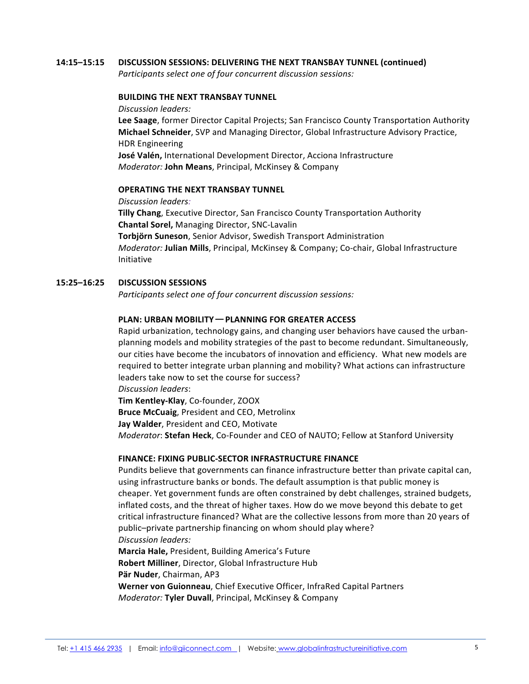#### 14:15-15:15 DISCUSSION SESSIONS: DELIVERING THE NEXT TRANSBAY TUNNEL (continued)

*Participants select one of four concurrent discussion sessions:* 

#### **BUILDING THE NEXT TRANSBAY TUNNEL**

*Discussion leaders:*  **Lee Saage**, former Director Capital Projects; San Francisco County Transportation Authority **Michael Schneider**, SVP and Managing Director, Global Infrastructure Advisory Practice, HDR Engineering **José Valén, International Development Director, Acciona Infrastructure** *Moderator:* John Means, Principal, McKinsey & Company

#### **OPERATING THE NEXT TRANSBAY TUNNEL**

*Discussion leaders:*

**Tilly Chang**, Executive Director, San Francisco County Transportation Authority **Chantal Sorel, Managing Director, SNC-Lavalin Torbjörn Suneson**, Senior Advisor, Swedish Transport Administration

*Moderator:* Julian Mills, Principal, McKinsey & Company; Co-chair, Global Infrastructure Initiative

# 15:25-16:25 **DISCUSSION SESSIONS**

*Participants select one of four concurrent discussion sessions:* 

# **PLAN: URBAN MOBILITY — PLANNING FOR GREATER ACCESS**

Rapid urbanization, technology gains, and changing user behaviors have caused the urbanplanning models and mobility strategies of the past to become redundant. Simultaneously, our cities have become the incubators of innovation and efficiency. What new models are required to better integrate urban planning and mobility? What actions can infrastructure leaders take now to set the course for success?

*Discussion leaders*: 

**Tim Kentley-Klay**, Co-founder, ZOOX **Bruce McCuaig**, President and CEO, Metrolinx **Jay Walder, President and CEO, Motivate** *Moderator*: Stefan Heck, Co-Founder and CEO of NAUTO; Fellow at Stanford University

#### **FINANCE: FIXING PUBLIC-SECTOR INFRASTRUCTURE FINANCE**

Pundits believe that governments can finance infrastructure better than private capital can, using infrastructure banks or bonds. The default assumption is that public money is cheaper. Yet government funds are often constrained by debt challenges, strained budgets, inflated costs, and the threat of higher taxes. How do we move beyond this debate to get critical infrastructure financed? What are the collective lessons from more than 20 years of public–private partnership financing on whom should play where? *Discussion leaders:*

**Marcia Hale, President, Building America's Future Robert Milliner, Director, Global Infrastructure Hub Pär Nuder, Chairman, AP3 Werner von Guionneau**, Chief Executive Officer, InfraRed Capital Partners *Moderator:* Tyler Duvall, Principal, McKinsey & Company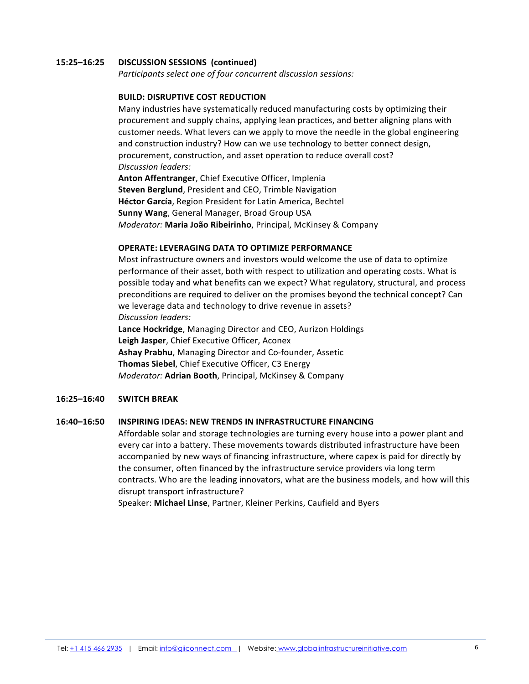# **15:25–16:25 DISCUSSION SESSIONS (continued)**

*Participants select one of four concurrent discussion sessions:* 

# **BUILD: DISRUPTIVE COST REDUCTION**

Many industries have systematically reduced manufacturing costs by optimizing their procurement and supply chains, applying lean practices, and better aligning plans with customer needs. What levers can we apply to move the needle in the global engineering and construction industry? How can we use technology to better connect design, procurement, construction, and asset operation to reduce overall cost? *Discussion leaders:* 

**Anton Affentranger, Chief Executive Officer, Implenia Steven Berglund**, President and CEO, Trimble Navigation **Héctor García, Region President for Latin America, Bechtel Sunny Wang**, General Manager, Broad Group USA *Moderator:* Maria João Ribeirinho, Principal, McKinsey & Company

# **OPERATE: LEVERAGING DATA TO OPTIMIZE PERFORMANCE**

Most infrastructure owners and investors would welcome the use of data to optimize performance of their asset, both with respect to utilization and operating costs. What is possible today and what benefits can we expect? What regulatory, structural, and process preconditions are required to deliver on the promises beyond the technical concept? Can we leverage data and technology to drive revenue in assets? *Discussion leaders:* 

Lance Hockridge, Managing Director and CEO, Aurizon Holdings Leigh Jasper, Chief Executive Officer, Aconex **Ashay Prabhu, Managing Director and Co-founder, Assetic Thomas Siebel, Chief Executive Officer, C3 Energy** *Moderator:* Adrian Booth, Principal, McKinsey & Company

#### **16:25–16:40 SWITCH BREAK**

#### **16:40–16:50 INSPIRING IDEAS: NEW TRENDS IN INFRASTRUCTURE FINANCING**

Affordable solar and storage technologies are turning every house into a power plant and every car into a battery. These movements towards distributed infrastructure have been accompanied by new ways of financing infrastructure, where capex is paid for directly by the consumer, often financed by the infrastructure service providers via long term contracts. Who are the leading innovators, what are the business models, and how will this disrupt transport infrastructure?

Speaker: Michael Linse, Partner, Kleiner Perkins, Caufield and Byers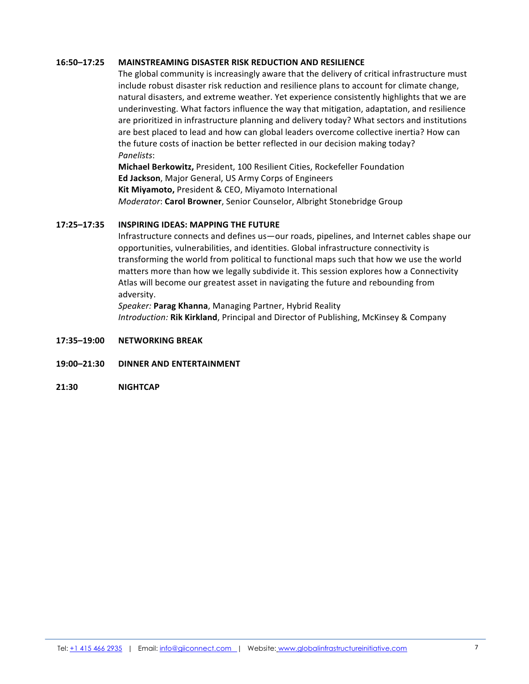# **16:50–17:25 MAINSTREAMING DISASTER RISK REDUCTION AND RESILIENCE**

The global community is increasingly aware that the delivery of critical infrastructure must include robust disaster risk reduction and resilience plans to account for climate change, natural disasters, and extreme weather. Yet experience consistently highlights that we are underinvesting. What factors influence the way that mitigation, adaptation, and resilience are prioritized in infrastructure planning and delivery today? What sectors and institutions are best placed to lead and how can global leaders overcome collective inertia? How can the future costs of inaction be better reflected in our decision making today? *Panelists*: 

**Michael Berkowitz, President, 100 Resilient Cities, Rockefeller Foundation Ed Jackson**, Major General, US Army Corps of Engineers **Kit Miyamoto, President & CEO, Miyamoto International** *Moderator*: Carol Browner, Senior Counselor, Albright Stonebridge Group

# **17:25–17:35 INSPIRING IDEAS: MAPPING THE FUTURE**

Infrastructure connects and defines us—our roads, pipelines, and Internet cables shape our opportunities, vulnerabilities, and identities. Global infrastructure connectivity is transforming the world from political to functional maps such that how we use the world matters more than how we legally subdivide it. This session explores how a Connectivity Atlas will become our greatest asset in navigating the future and rebounding from adversity. 

Speaker: Parag Khanna, Managing Partner, Hybrid Reality *Introduction:* Rik Kirkland, Principal and Director of Publishing, McKinsey & Company

- **17:35–19:00 NETWORKING BREAK**
- **19:00–21:30 DINNER AND ENTERTAINMENT**
- **21:30 NIGHTCAP**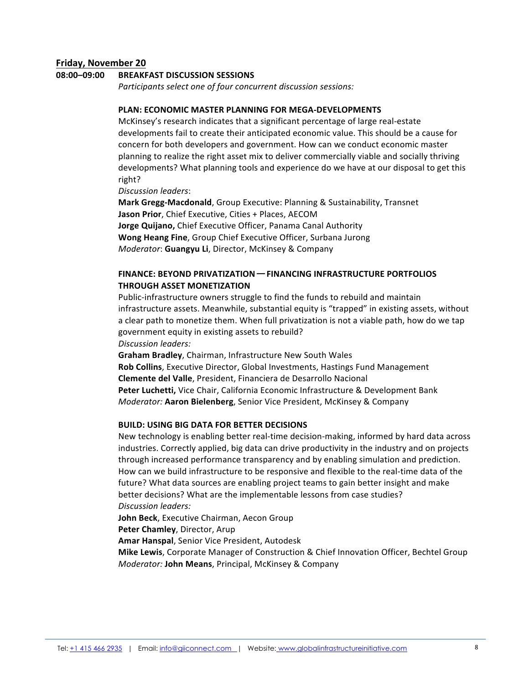# **Friday, November 20**

# 08:00-09:00 BREAKFAST DISCUSSION SESSIONS

*Participants select one of four concurrent discussion sessions:* 

# **PLAN: ECONOMIC MASTER PLANNING FOR MEGA-DEVELOPMENTS**

McKinsey's research indicates that a significant percentage of large real-estate developments fail to create their anticipated economic value. This should be a cause for concern for both developers and government. How can we conduct economic master planning to realize the right asset mix to deliver commercially viable and socially thriving developments? What planning tools and experience do we have at our disposal to get this right? 

*Discussion leaders*:

**Mark Gregg-Macdonald, Group Executive: Planning & Sustainability, Transnet Jason Prior**, Chief Executive, Cities + Places, AECOM **Jorge Quijano,** Chief Executive Officer, Panama Canal Authority **Wong Heang Fine**, Group Chief Executive Officer, Surbana Jurong *Moderator*: **Guangyu Li**, Director, McKinsey & Company

# **FINANCE: BEYOND PRIVATIZATION — FINANCING INFRASTRUCTURE PORTFOLIOS THROUGH ASSET MONETIZATION**

Public-infrastructure owners struggle to find the funds to rebuild and maintain infrastructure assets. Meanwhile, substantial equity is "trapped" in existing assets, without a clear path to monetize them. When full privatization is not a viable path, how do we tap government equity in existing assets to rebuild? *Discussion leaders:* 

**Graham Bradley**, Chairman, Infrastructure New South Wales **Rob Collins**, Executive Director, Global Investments, Hastings Fund Management **Clemente del Valle**, President, Financiera de Desarrollo Nacional **Peter Luchetti,** Vice Chair, California Economic Infrastructure & Development Bank *Moderator:* Aaron Bielenberg, Senior Vice President, McKinsey & Company

## **BUILD: USING BIG DATA FOR BETTER DECISIONS**

New technology is enabling better real-time decision-making, informed by hard data across industries. Correctly applied, big data can drive productivity in the industry and on projects through increased performance transparency and by enabling simulation and prediction. How can we build infrastructure to be responsive and flexible to the real-time data of the future? What data sources are enabling project teams to gain better insight and make better decisions? What are the implementable lessons from case studies? *Discussion leaders:*

**John Beck**, Executive Chairman, Aecon Group

**Peter Chamley, Director, Arup** 

Amar Hanspal, Senior Vice President, Autodesk

**Mike Lewis**, Corporate Manager of Construction & Chief Innovation Officer, Bechtel Group *Moderator:* John Means, Principal, McKinsey & Company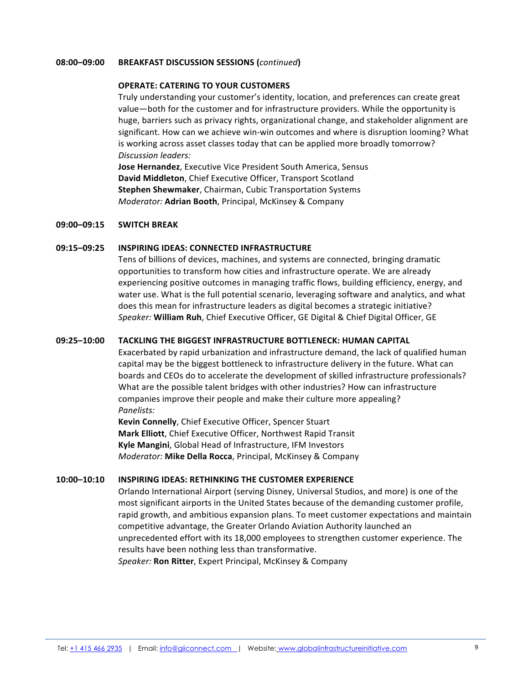### **08:00–09:00 BREAKFAST DISCUSSION SESSIONS (***continued***)**

## **OPERATE: CATERING TO YOUR CUSTOMERS**

Truly understanding your customer's identity, location, and preferences can create great value—both for the customer and for infrastructure providers. While the opportunity is huge, barriers such as privacy rights, organizational change, and stakeholder alignment are significant. How can we achieve win-win outcomes and where is disruption looming? What is working across asset classes today that can be applied more broadly tomorrow? *Discussion leaders:*

**Jose Hernandez**, Executive Vice President South America, Sensus **David Middleton, Chief Executive Officer, Transport Scotland Stephen Shewmaker**, Chairman, Cubic Transportation Systems *Moderator:* **Adrian Booth**, Principal, McKinsey & Company

#### **09:00–09:15 SWITCH BREAK**

# **09:15–09:25 INSPIRING IDEAS: CONNECTED INFRASTRUCTURE**

Tens of billions of devices, machines, and systems are connected, bringing dramatic opportunities to transform how cities and infrastructure operate. We are already experiencing positive outcomes in managing traffic flows, building efficiency, energy, and water use. What is the full potential scenario, leveraging software and analytics, and what does this mean for infrastructure leaders as digital becomes a strategic initiative? Speaker: William Ruh, Chief Executive Officer, GE Digital & Chief Digital Officer, GE

# **09:25–10:00 TACKLING THE BIGGEST INFRASTRUCTURE BOTTLENECK: HUMAN CAPITAL**

Exacerbated by rapid urbanization and infrastructure demand, the lack of qualified human capital may be the biggest bottleneck to infrastructure delivery in the future. What can boards and CEOs do to accelerate the development of skilled infrastructure professionals? What are the possible talent bridges with other industries? How can infrastructure companies improve their people and make their culture more appealing? *Panelists:* 

**Kevin Connelly**, Chief Executive Officer, Spencer Stuart **Mark Elliott**, Chief Executive Officer, Northwest Rapid Transit **Kyle Mangini**, Global Head of Infrastructure, IFM Investors *Moderator:* Mike Della Rocca, Principal, McKinsey & Company

#### **10:00–10:10 INSPIRING IDEAS: RETHINKING THE CUSTOMER EXPERIENCE**

Orlando International Airport (serving Disney, Universal Studios, and more) is one of the most significant airports in the United States because of the demanding customer profile, rapid growth, and ambitious expansion plans. To meet customer expectations and maintain competitive advantage, the Greater Orlando Aviation Authority launched an unprecedented effort with its 18,000 employees to strengthen customer experience. The results have been nothing less than transformative. *Speaker:* **Ron Ritter**, Expert Principal, McKinsey & Company